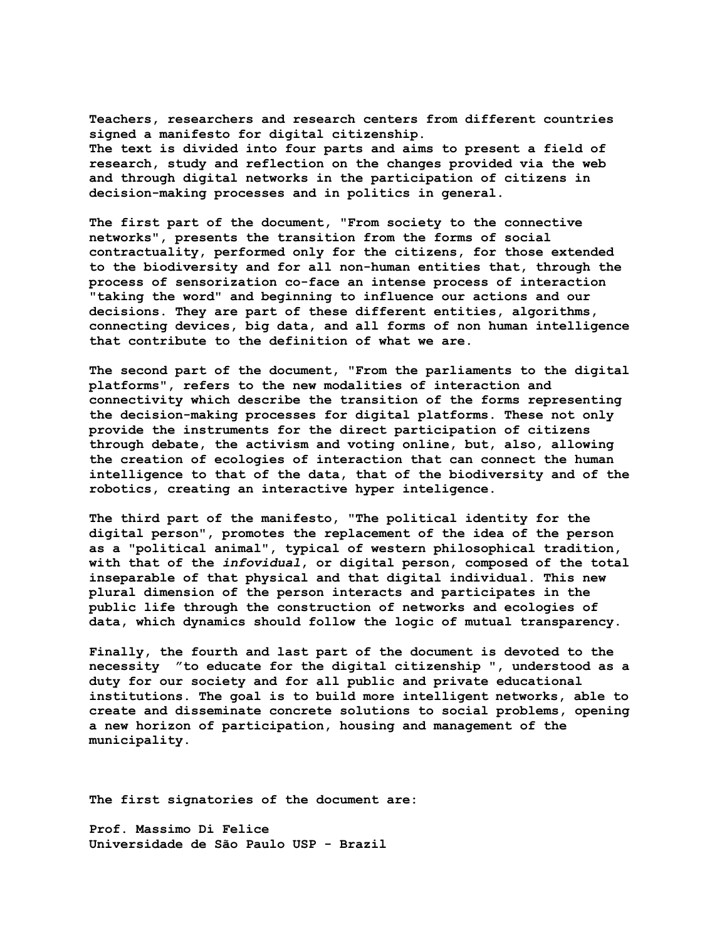**Teachers, researchers and research centers from different countries signed a manifesto for digital citizenship. The text is divided into four parts and aims to present a field of research, study and reflection on the changes provided via the web and through digital networks in the participation of citizens in decision-making processes and in politics in general.** 

**The first part of the document, "From society to the connective networks", presents the transition from the forms of social contractuality, performed only for the citizens, for those extended to the biodiversity and for all non-human entities that, through the process of sensorization co-face an intense process of interaction "taking the word" and beginning to influence our actions and our decisions. They are part of these different entities, algorithms, connecting devices, big data, and all forms of non human intelligence that contribute to the definition of what we are.** 

**The second part of the document, "From the parliaments to the digital platforms", refers to the new modalities of interaction and connectivity which describe the transition of the forms representing the decision-making processes for digital platforms. These not only provide the instruments for the direct participation of citizens through debate, the activism and voting online, but, also, allowing the creation of ecologies of interaction that can connect the human intelligence to that of the data, that of the biodiversity and of the robotics, creating an interactive hyper inteligence.** 

**The third part of the manifesto, "The political identity for the digital person", promotes the replacement of the idea of the person as a "political animal", typical of western philosophical tradition, with that of the** *infovidual***, or digital person, composed of the total inseparable of that physical and that digital individual. This new plural dimension of the person interacts and participates in the public life through the construction of networks and ecologies of data, which dynamics should follow the logic of mutual transparency.** 

**Finally, the fourth and last part of the document is devoted to the necessity "to educate for the digital citizenship ", understood as a duty for our society and for all public and private educational institutions. The goal is to build more intelligent networks, able to create and disseminate concrete solutions to social problems, opening a new horizon of participation, housing and management of the municipality.** 

**The first signatories of the document are:** 

**Prof. Massimo Di Felice Universidade de São Paulo USP - Brazil**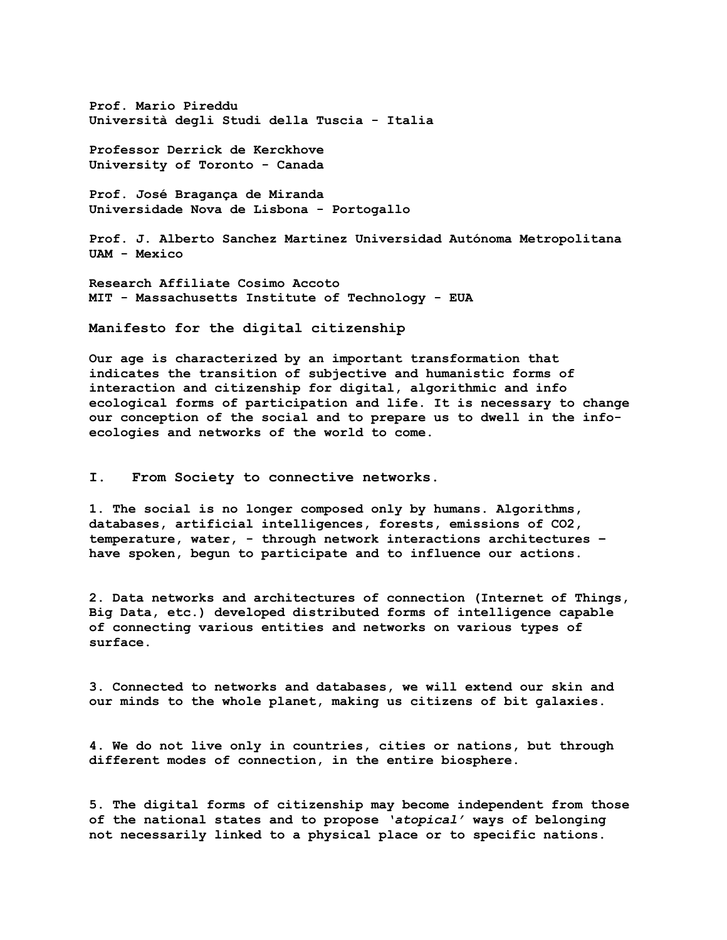**Prof. Mario Pireddu Università degli Studi della Tuscia - Italia** 

**Professor Derrick de Kerckhove University of Toronto - Canada** 

**Prof. José Bragança de Miranda Universidade Nova de Lisbona - Portogallo** 

**Prof. J. Alberto Sanchez Martinez Universidad Autónoma Metropolitana UAM - Mexico** 

**Research Affiliate Cosimo Accoto MIT - Massachusetts Institute of Technology - EUA**

**Manifesto for the digital citizenship** 

**Our age is characterized by an important transformation that indicates the transition of subjective and humanistic forms of interaction and citizenship for digital, algorithmic and info ecological forms of participation and life. It is necessary to change our conception of the social and to prepare us to dwell in the infoecologies and networks of the world to come.** 

**I. From Society to connective networks.** 

**1. The social is no longer composed only by humans. Algorithms, databases, artificial intelligences, forests, emissions of CO2, temperature, water, - through network interactions architectures – have spoken, begun to participate and to influence our actions.** 

**2. Data networks and architectures of connection (Internet of Things, Big Data, etc.) developed distributed forms of intelligence capable of connecting various entities and networks on various types of surface.** 

**3. Connected to networks and databases, we will extend our skin and our minds to the whole planet, making us citizens of bit galaxies.**

**4. We do not live only in countries, cities or nations, but through different modes of connection, in the entire biosphere.** 

**5. The digital forms of citizenship may become independent from those of the national states and to propose** *'atopical'* **ways of belonging not necessarily linked to a physical place or to specific nations.**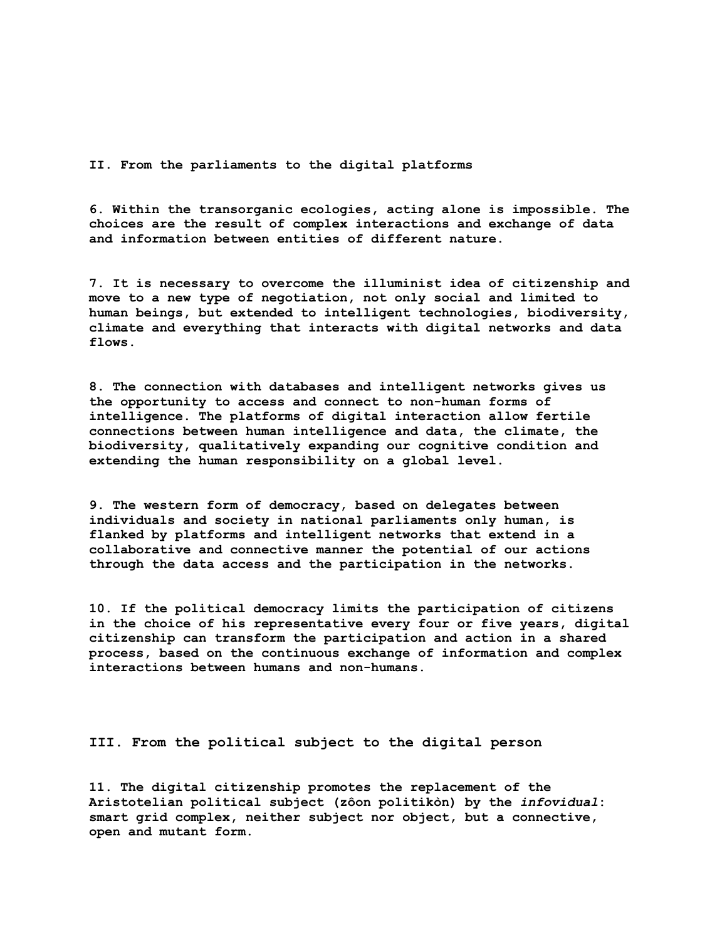**II. From the parliaments to the digital platforms** 

**6. Within the transorganic ecologies, acting alone is impossible. The choices are the result of complex interactions and exchange of data and information between entities of different nature.** 

**7. It is necessary to overcome the illuminist idea of citizenship and move to a new type of negotiation, not only social and limited to human beings, but extended to intelligent technologies, biodiversity, climate and everything that interacts with digital networks and data flows.** 

**8. The connection with databases and intelligent networks gives us the opportunity to access and connect to non-human forms of intelligence. The platforms of digital interaction allow fertile connections between human intelligence and data, the climate, the biodiversity, qualitatively expanding our cognitive condition and extending the human responsibility on a global level.** 

**9. The western form of democracy, based on delegates between individuals and society in national parliaments only human, is flanked by platforms and intelligent networks that extend in a collaborative and connective manner the potential of our actions through the data access and the participation in the networks.** 

**10. If the political democracy limits the participation of citizens in the choice of his representative every four or five years, digital citizenship can transform the participation and action in a shared process, based on the continuous exchange of information and complex interactions between humans and non-humans.** 

**III. From the political subject to the digital person** 

**11. The digital citizenship promotes the replacement of the Aristotelian political subject (zôon politikòn) by the** *infovidual***: smart grid complex, neither subject nor object, but a connective, open and mutant form.**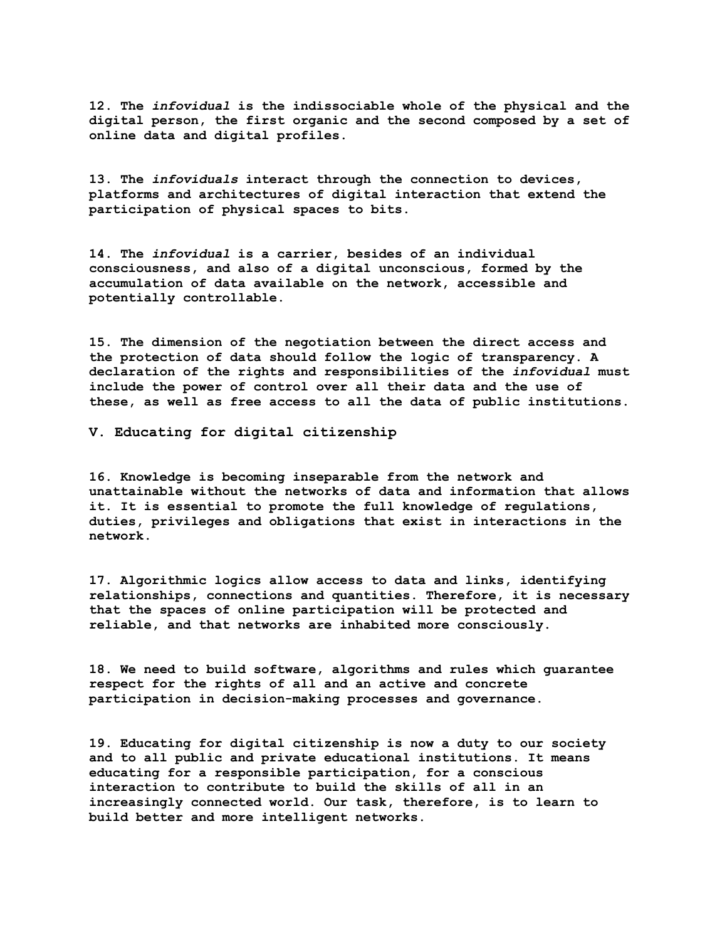**12. The** *infovidual* **is the indissociable whole of the physical and the digital person, the first organic and the second composed by a set of online data and digital profiles.** 

**13. The** *infoviduals* **interact through the connection to devices, platforms and architectures of digital interaction that extend the participation of physical spaces to bits.** 

**14. The** *infovidual* **is a carrier, besides of an individual consciousness, and also of a digital unconscious, formed by the accumulation of data available on the network, accessible and potentially controllable.** 

**15. The dimension of the negotiation between the direct access and the protection of data should follow the logic of transparency. A declaration of the rights and responsibilities of the** *infovidual* **must include the power of control over all their data and the use of these, as well as free access to all the data of public institutions.** 

**V. Educating for digital citizenship** 

**16. Knowledge is becoming inseparable from the network and unattainable without the networks of data and information that allows it. It is essential to promote the full knowledge of regulations, duties, privileges and obligations that exist in interactions in the network.** 

**17. Algorithmic logics allow access to data and links, identifying relationships, connections and quantities. Therefore, it is necessary that the spaces of online participation will be protected and reliable, and that networks are inhabited more consciously.** 

**18. We need to build software, algorithms and rules which guarantee respect for the rights of all and an active and concrete participation in decision-making processes and governance.** 

**19. Educating for digital citizenship is now a duty to our society and to all public and private educational institutions. It means educating for a responsible participation, for a conscious interaction to contribute to build the skills of all in an increasingly connected world. Our task, therefore, is to learn to build better and more intelligent networks.**